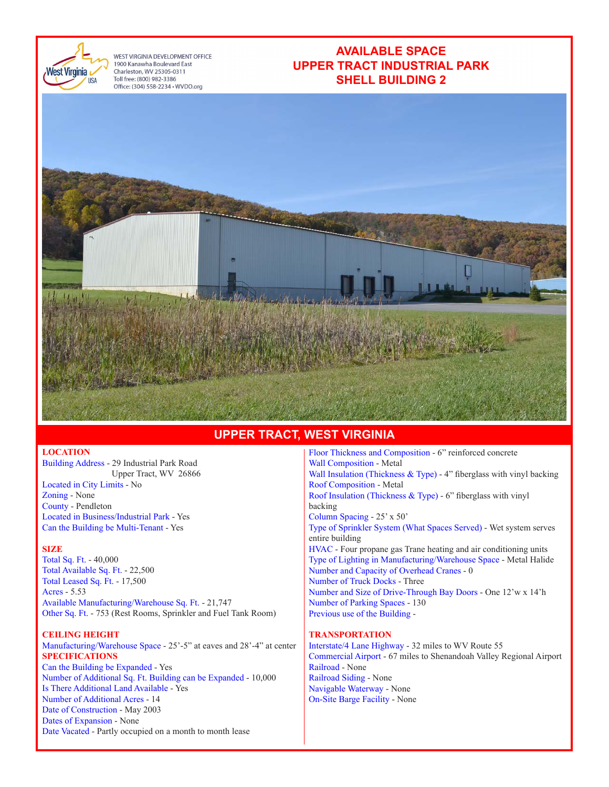

WEST VIRGINIA DEVELOPMENT OFFICE 1900 Kanawha Boulevard East Charleston, WV 25305-0311 Toll free: (800) 982-3386 Office: (304) 558-2234 · WVDO.org

## **AVAILABLE SPACE UPPER TRACT INDUSTRIAL PARK SHELL BUILDING 2**



### **UPPER TRACT, WEST VIRGINIA**

### **LOCATION**

Building Address - 29 Industrial Park Road Upper Tract, WV 26866 Located in City Limits - No Zoning - None County - Pendleton Located in Business/Industrial Park - Yes Can the Building be Multi-Tenant - Yes

#### **SIZE**

Total Sq. Ft. - 40,000 Total Available Sq. Ft. - 22,500 Total Leased Sq. Ft. - 17,500 Acres - 5.53 Available Manufacturing/Warehouse Sq. Ft. - 21,747 Other Sq. Ft. - 753 (Rest Rooms, Sprinkler and Fuel Tank Room)

#### **CEILING HEIGHT**

Manufacturing/Warehouse Space - 25'-5" at eaves and 28'-4" at center **SPECIFICATIONS** Can the Building be Expanded - Yes Number of Additional Sq. Ft. Building can be Expanded - 10,000 Is There Additional Land Available - Yes Number of Additional Acres - 14 Date of Construction - May 2003 Dates of Expansion - None Date Vacated - Partly occupied on a month to month lease

Floor Thickness and Composition - 6" reinforced concrete Wall Composition - Metal Wall Insulation (Thickness & Type) - 4" fiberglass with vinyl backing Roof Composition - Metal Roof Insulation (Thickness & Type) - 6" fiberglass with vinyl backing Column Spacing - 25' x 50' Type of Sprinkler System (What Spaces Served) - Wet system serves entire building HVAC - Four propane gas Trane heating and air conditioning units Type of Lighting in Manufacturing/Warehouse Space - Metal Halide Number and Capacity of Overhead Cranes - 0 Number of Truck Docks - Three Number and Size of Drive-Through Bay Doors - One 12'w x 14'h Number of Parking Spaces - 130 Previous use of the Building -

#### **TRANSPORTATION**

Interstate/4 Lane Highway - 32 miles to WV Route 55 Commercial Airport - 67 miles to Shenandoah Valley Regional Airport Railroad - None Railroad Siding - None Navigable Waterway - None On-Site Barge Facility - None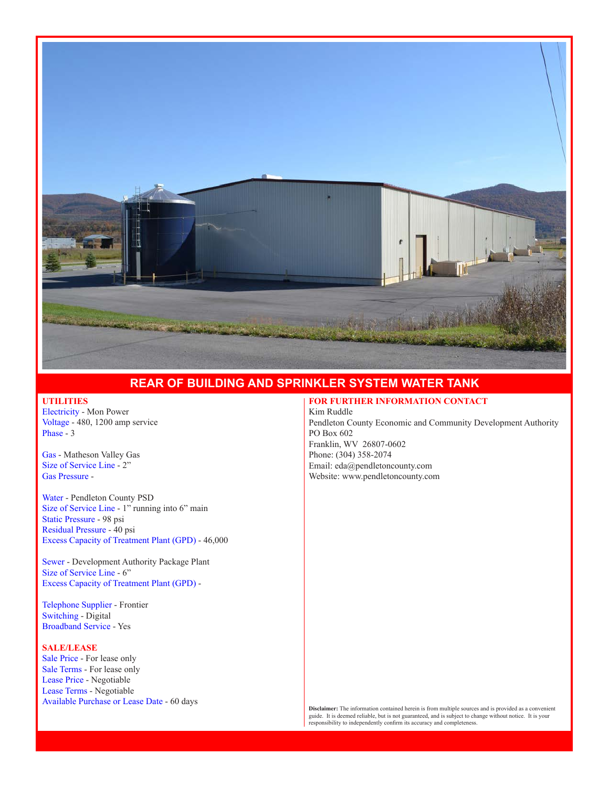

# **REAR OF BUILDING AND SPRINKLER SYSTEM WATER TANK**

#### **UTILITIES**

Electricity - Mon Power Voltage - 480, 1200 amp service Phase - 3

Gas - Matheson Valley Gas Size of Service Line - 2" Gas Pressure -

Water - Pendleton County PSD Size of Service Line - 1" running into 6" main Static Pressure - 98 psi Residual Pressure - 40 psi Excess Capacity of Treatment Plant (GPD) - 46,000

Sewer - Development Authority Package Plant Size of Service Line - 6" Excess Capacity of Treatment Plant (GPD) -

Telephone Supplier - Frontier Switching - Digital Broadband Service - Yes

#### **SALE/LEASE**

Sale Price - For lease only Sale Terms - For lease only Lease Price - Negotiable Lease Terms - Negotiable Available Purchase or Lease Date - 60 days

#### **FOR FURTHER INFORMATION CONTACT**

Kim Ruddle Pendleton County Economic and Community Development Authority PO Box 602 Franklin, WV 26807-0602 Phone: (304) 358-2074 Email: eda@pendletoncounty.com Website: www.pendletoncounty.com

**Disclaimer:** The information contained herein is from multiple sources and is provided as a convenient guide. It is deemed reliable, but is not guaranteed, and is subject to change without notice. It is your responsibility to independently confirm its accuracy and completeness.